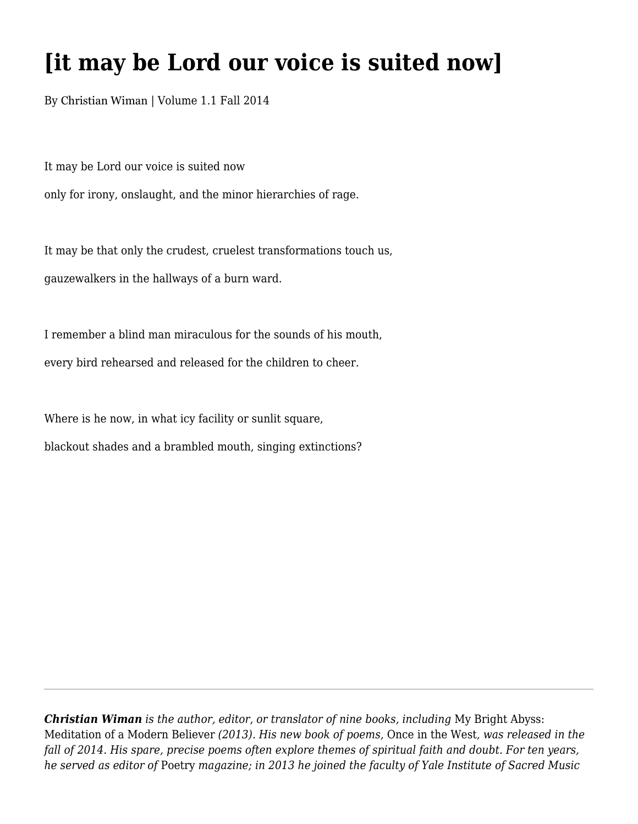## **[it may be Lord our voice is suited now]**

By Christian Wiman | Volume 1.1 Fall 2014

It may be Lord our voice is suited now only for irony, onslaught, and the minor hierarchies of rage.

It may be that only the crudest, cruelest transformations touch us, gauzewalkers in the hallways of a burn ward.

I remember a blind man miraculous for the sounds of his mouth, every bird rehearsed and released for the children to cheer.

Where is he now, in what icy facility or sunlit square,

blackout shades and a brambled mouth, singing extinctions?

*Christian Wiman is the author, editor, or translator of nine books, including* My Bright Abyss: Meditation of a Modern Believer *(2013). His new book of poems,* Once in the West*, was released in the fall of 2014. His spare, precise poems often explore themes of spiritual faith and doubt. For ten years, he served as editor of* Poetry *magazine; in 2013 he joined the faculty of Yale Institute of Sacred Music*